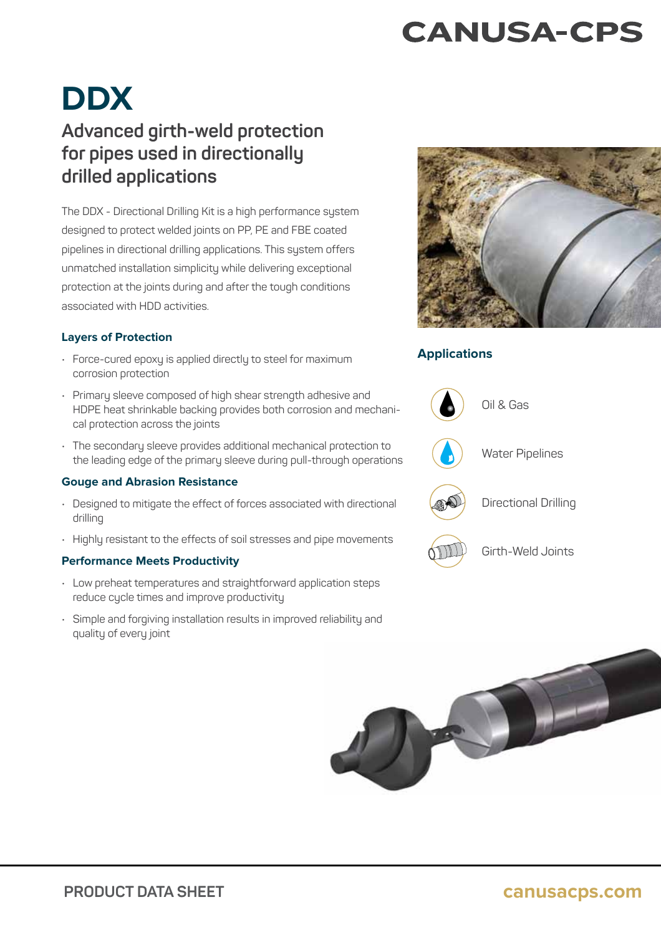### **CANUSA-CPS**

# **DDX**

### **Advanced girth-weld protection for pipes used in directionally drilled applications**

The DDX - Directional Drilling Kit is a high performance system designed to protect welded joints on PP, PE and FBE coated pipelines in directional drilling applications. This system offers unmatched installation simplicity while delivering exceptional protection at the joints during and after the tough conditions associated with HDD activities.

#### **Layers of Protection**

- Force-cured epoxy is applied directly to steel for maximum corrosion protection
- Primary sleeve composed of high shear strength adhesive and HDPE heat shrinkable backing provides both corrosion and mechanical protection across the joints
- The secondary sleeve provides additional mechanical protection to the leading edge of the primary sleeve during pull-through operations

#### **Gouge and Abrasion Resistance**

- Designed to mitigate the effect of forces associated with directional drilling
- Highly resistant to the effects of soil stresses and pipe movements

#### **Performance Meets Productivity**

- Low preheat temperatures and straightforward application steps reduce cycle times and improve productivity
- Simple and forgiving installation results in improved reliability and quality of every joint



#### **Applications**